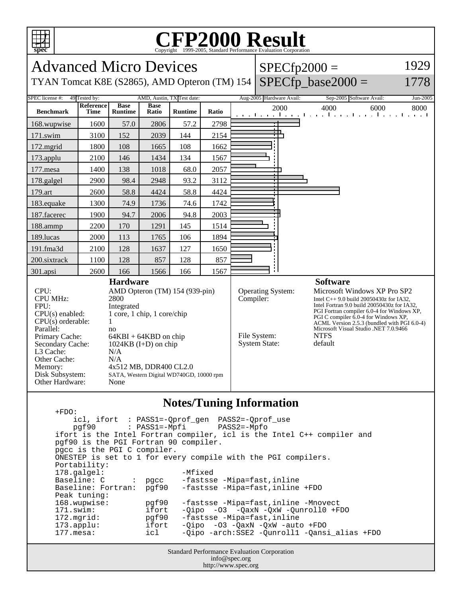

## C<sub>opyright</sub> ©1999-2005, Standard Performance Evaluation Corporation

Advanced Micro Devices  $SPECfp2000 =$ 1929  $SPECfp\_base2000 =$ TYAN Tomcat K8E (S2865), AMD Opteron (TM) 154 1778 SPEC license #: 49 Tested by: AMD, Austin, TX Test date: Aug-2005 Hardware Avail: Sep-2005 Software Avail: Jun-2005 **Reference Base Base Ratio Runtime Ratio** 2000 4000 6000 8000 **Benchmark Time Runtime** 168.wupwise 1600 57.0 2806 57.2 2798 171.swim | 3100 | 152 | 2039 | 144 | 2154 172.mgrid | 1800 | 108 | 1665 | 108 | 1662 173.applu | 2100 | 146 | 1434 | 134 | 1567 177. mesa | 1400 | 138 | 1018 | 68.0 | 2057 178.galgel | 2900 | 98.4 | 2948 | 93.2 | 3112 179.art | 2600 | 58.8 | 4424 | 58.8 | 4424 183.equake 1300 74.9 1736 74.6 1742 187.facerec | 1900 | 94.7 | 2006 | 94.8 | 2003 188.ammp | 2200 | 170 | 1291 | 145 | 1514 189.lucas | 2000 | 113 | 1765 | 106 | 1894 191.fma3d | 2100 | 128 | 1637 | 127 | 1650 200.sixtrack 1100 128 857 128 857 ÷ 301.apsi | 2600 | 166 | 1566 | 166 | 1567 **Hardware Software** CPU: AMD Opteron (TM) 154 (939-pin) Operating System: Microsoft Windows XP Pro SP2 CPU MHz: 2800 Compiler: Intel C $++ 9.0$  build 20050430z for IA32, Intel Fortran 9.0 build 20050430z for IA32, FPU: Integrated PGI Fortran compiler 6.0-4 for Windows XP, CPU(s) enabled: 1 core, 1 chip, 1 core/chip PGI C compiler 6.0-4 for Windows XP,  $CPU(s)$  orderable:  $1$ ACML Version 2.5.3 (bundled with PGI 6.0-4) Microsoft Visual Studio .NET 7.0.9466 Parallel: no Primary Cache: 64KBI + 64KBD on chip File System: NTFS<br>System State: default System State: Secondary Cache: 1024KB (I+D) on chip L3 Cache: N/A Other Cache: N/A Memory: 4x512 MB, DDR400 CL2.0 Disk Subsystem: SATA, Western Digital WD740GD, 10000 rpm Other Hardware: None

## **Notes/Tuning Information**

Standard Performance Evaluation Corporation +FDO: icl, ifort : PASS1=-Qprof\_gen PASS2=-Qprof\_use  $pgf90$  :  $PASS1=-Mpfi$  ifort is the Intel Fortran compiler, icl is the Intel C++ compiler and pgf90 is the PGI Fortran 90 compiler. pgcc is the PGI C compiler. ONESTEP is set to 1 for every compile with the PGI compilers. Portability: 178.galgel: - Mfixed Baseline: C : pgcc -fastsse -Mipa=fast,inline<br>Baseline: Fortran: pgf90 -fastsse -Mipa=fast,inline pgf90 -fastsse -Mipa=fast,inline +FDO Peak tuning:<br>168.wupwise: 168.wupwise: pgf90 -fastsse -Mipa=fast,inline -Mnovect 171.swim: ifort -Qipo -O3 -QaxN -QxW -Qunroll0 +FDO<br>172.mgrid: pgf90 -fastsse -Mipa=fast,inline -fastsse -Mipa=fast, inline 173.applu: ifort -Qipo -O3 -QaxN -QxW -auto +FDO 177.mesa: icl -Qipo -arch:SSE2 -Qunroll1 -Qansi\_alias +FDO

info@spec.org http://www.spec.org